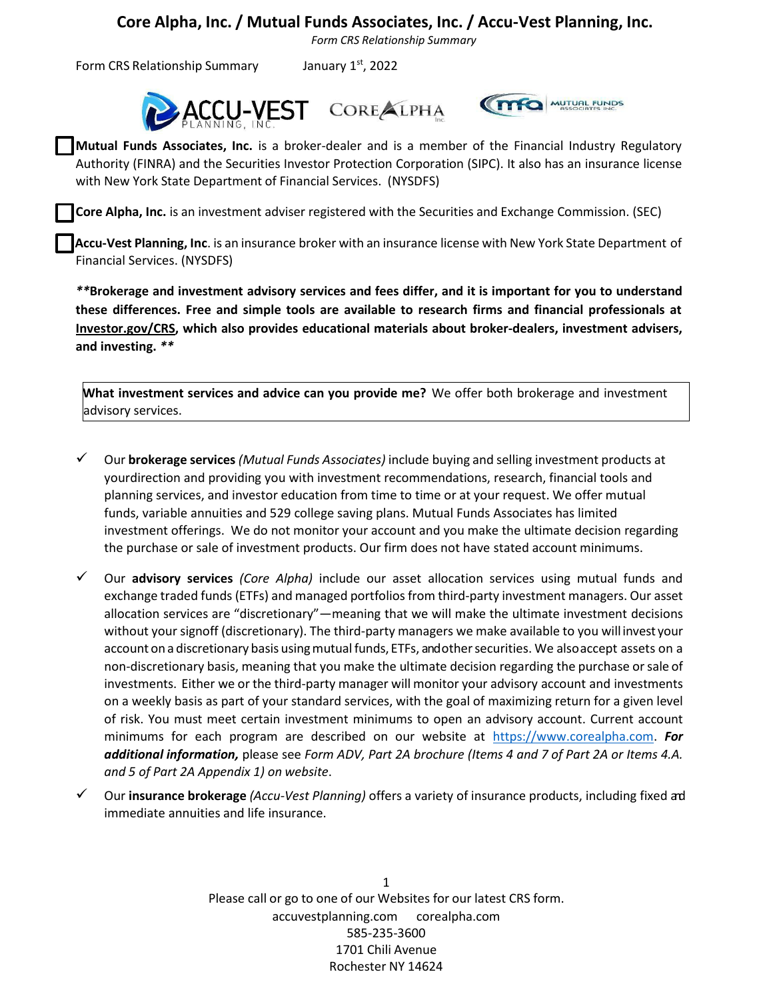*Form CRS Relationship Summary*

Form CRS Relationship Summary January  $1<sup>st</sup>$ , 2022





**Mutual Funds Associates, Inc.** is a broker-dealer and is a member of the Financial Industry Regulatory Authority (FINRA) and the Securities Investor Protection Corporation (SIPC). It also has an insurance license with New York State Department of Financial Services. (NYSDFS)

**Core Alpha, Inc.** is an investment adviser registered with the Securities and Exchange Commission. (SEC)

**Accu-Vest Planning, Inc**. is an insurance broker with an insurance license with New York State Department of Financial Services. (NYSDFS)

*\*\****Brokerage and investment advisory services and fees differ, and it is important for you to understand these differences. Free and simple tools are available to research firms and financial professionals at Investor.gov/CRS, which also provides educational materials about broker-dealers, investment advisers, and investing.** *\*\**

**What investment services and advice can you provide me?** We offer both brokerage and investment advisory services.

- ✓ Our **brokerage services** *(Mutual Funds Associates)* include buying and selling investment products at yourdirection and providing you with investment recommendations, research, financial tools and planning services, and investor education from time to time or at your request. We offer mutual funds, variable annuities and 529 college saving plans. Mutual Funds Associates has limited investment offerings. We do not monitor your account and you make the ultimate decision regarding the purchase or sale of investment products. Our firm does not have stated account minimums.
- ✓ Our **advisory services** *(Core Alpha)* include our asset allocation services using mutual funds and exchange traded funds (ETFs) and managed portfolios from third-party investment managers. Our asset allocation services are "discretionary"—meaning that we will make the ultimate investment decisions without your signoff (discretionary). The third-party managers we make available to you will invest your account on a discretionary basis using mutual funds, ETFs, andother securities. We also accept assets on a non-discretionary basis, meaning that you make the ultimate decision regarding the purchase orsale of investments. Either we or the third-party manager will monitor your advisory account and investments on a weekly basis as part of your standard services, with the goal of maximizing return for a given level of risk. You must meet certain investment minimums to open an advisory account. Current account minimums for each program are described on our website at [https://www.corealpha.com.](https://www/) *For additional information,* please see *Form ADV, Part 2A brochure (Items 4 and 7 of Part 2A or Items 4.A. and 5 of Part 2A Appendix 1) on website*.
- ✓ Our **insurance brokerage** *(Accu-Vest Planning)* offers a variety of insurance products, including fixed and immediate annuities and life insurance.

1 Please call or go to one of our Websites for our latest CRS form. accuvestplanning.com corealpha.com 585-235-3600 1701 Chili Avenue Rochester NY 14624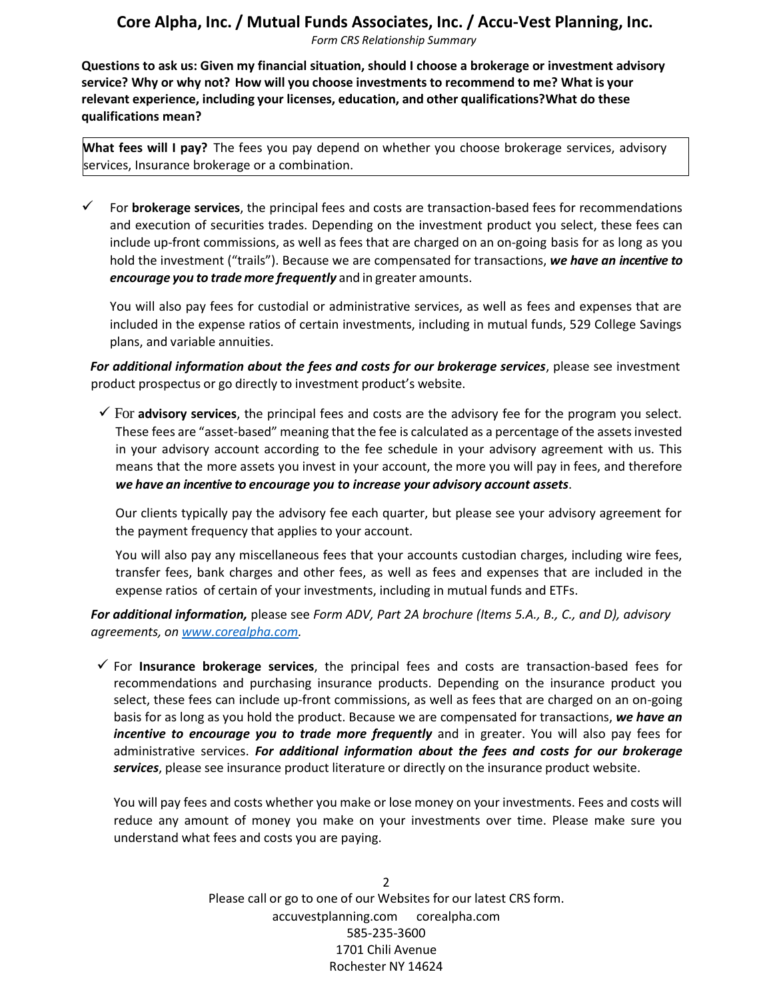*Form CRS Relationship Summary*

**Questions to ask us: Given my financial situation, should I choose a brokerage or investment advisory service? Why or why not? How will you choose investments to recommend to me? What is your relevant experience, including your licenses, education, and other qualifications?What do these qualifications mean?**

**What fees will I pay?** The fees you pay depend on whether you choose brokerage services, advisory services, Insurance brokerage or a combination.

For **brokerage services**, the principal fees and costs are transaction-based fees for recommendations and execution of securities trades. Depending on the investment product you select, these fees can include up-front commissions, as well as fees that are charged on an on-going basis for as long as you hold the investment ("trails"). Because we are compensated for transactions, *we have an incentive to encourage you to trade more frequently* and in greater amounts.

You will also pay fees for custodial or administrative services, as well as fees and expenses that are included in the expense ratios of certain investments, including in mutual funds, 529 College Savings plans, and variable annuities.

*For additional information about the fees and costs for our brokerage services*, please see investment product prospectus or go directly to investment product's website.

✓ For **advisory services**, the principal fees and costs are the advisory fee for the program you select. These fees are "asset-based" meaning that the fee is calculated as a percentage of the assets invested in your advisory account according to the fee schedule in your advisory agreement with us. This means that the more assets you invest in your account, the more you will pay in fees, and therefore *we have an incentive to encourage you to increase your advisory account assets*.

Our clients typically pay the advisory fee each quarter, but please see your advisory agreement for the payment frequency that applies to your account.

You will also pay any miscellaneous fees that your accounts custodian charges, including wire fees, transfer fees, bank charges and other fees, as well as fees and expenses that are included in the expense ratios of certain of your investments, including in mutual funds and ETFs.

*For additional information,* please see *Form ADV, Part 2A brochure (Items 5.A., B., C., and D), advisory agreements, on [www.corealpha.com.](http://www.corealpha.com/)*

✓ For **Insurance brokerage services**, the principal fees and costs are transaction-based fees for recommendations and purchasing insurance products. Depending on the insurance product you select, these fees can include up-front commissions, as well as fees that are charged on an on-going basis for as long as you hold the product. Because we are compensated for transactions, *we have an incentive to encourage you to trade more frequently* and in greater. You will also pay fees for administrative services. *For additional information about the fees and costs for our brokerage services*, please see insurance product literature or directly on the insurance product website.

You will pay fees and costs whether you make or lose money on your investments. Fees and costs will reduce any amount of money you make on your investments over time. Please make sure you understand what fees and costs you are paying.

> 2 Please call or go to one of our Websites for our latest CRS form. accuvestplanning.com corealpha.com 585-235-3600 1701 Chili Avenue Rochester NY 14624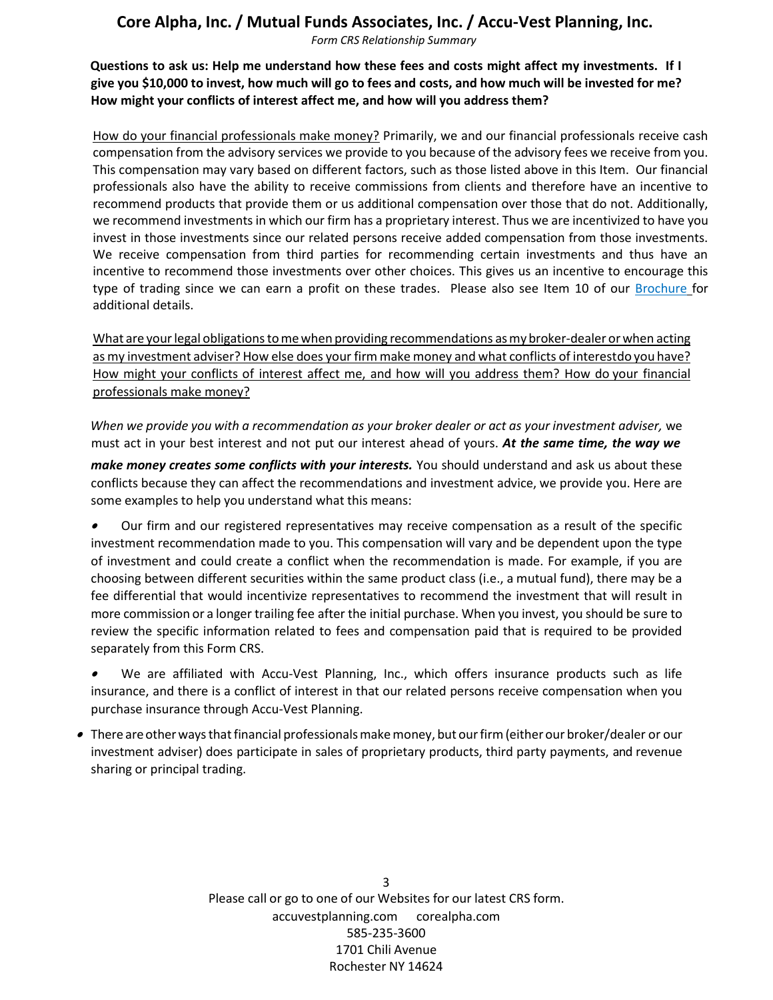*Form CRS Relationship Summary*

**Questions to ask us: Help me understand how these fees and costs might affect my investments. If I give you \$10,000 to invest, how much will go to fees and costs, and how much will be invested for me? How might your conflicts of interest affect me, and how will you address them?**

How do your financial professionals make money? Primarily, we and our financial professionals receive cash compensation from the advisory services we provide to you because of the advisory fees we receive from you. This compensation may vary based on different factors, such as those listed above in this Item. Our financial professionals also have the ability to receive commissions from clients and therefore have an incentive to recommend products that provide them or us additional compensation over those that do not. Additionally, we recommend investments in which our firm has a proprietary interest. Thus we are incentivized to have you invest in those investments since our related persons receive added compensation from those investments. We receive compensation from third parties for recommending certain investments and thus have an incentive to recommend those investments over other choices. This gives us an incentive to encourage this type of trading since we can earn a profit on these trades. Please also see Item 10 of our Brochure for additional details.

What are your legal obligations to me when providing recommendations as my broker-dealer or when acting as my investment adviser? How else does your firm make money and what conflicts of interestdo you have? How might your conflicts of interest affect me, and how will you address them? How do your financial professionals make money?

*When we provide you with a recommendation as your broker dealer or act as your investment adviser,* we must act in your best interest and not put our interest ahead of yours. *At the same time, the way we*

*make money creates some conflicts with your interests.* You should understand and ask us about these conflicts because they can affect the recommendations and investment advice, we provide you. Here are some examples to help you understand what this means:

• Our firm and our registered representatives may receive compensation as a result of the specific investment recommendation made to you. This compensation will vary and be dependent upon the type of investment and could create a conflict when the recommendation is made. For example, if you are choosing between different securities within the same product class (i.e., a mutual fund), there may be a fee differential that would incentivize representatives to recommend the investment that will result in more commission or a longer trailing fee after the initial purchase. When you invest, you should be sure to review the specific information related to fees and compensation paid that is required to be provided separately from this Form CRS.

• We are affiliated with Accu-Vest Planning, Inc., which offers insurance products such as life insurance, and there is a conflict of interest in that our related persons receive compensation when you purchase insurance through Accu-Vest Planning.

 $\bullet~$  There are other ways that financial professionals make money, but our firm (either our broker/dealer or our investment adviser) does participate in sales of proprietary products, third party payments, and revenue sharing or principal trading.